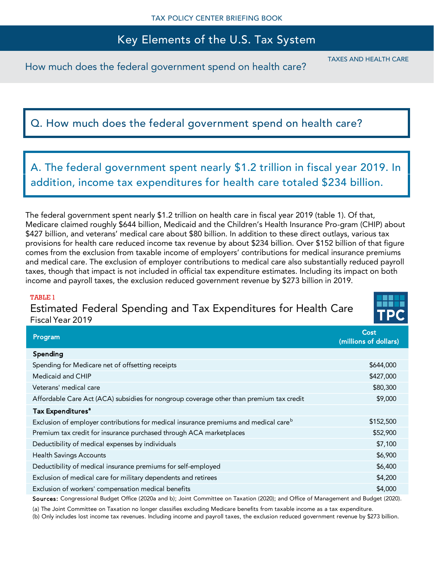## Key Elements of the U.S. Tax System

How much does the federal government spend on health care?

TAXES AND HEALTH CARE

# Q. How much does the federal government spend on health care?

A. The federal government spent nearly \$1.2 trillion in fiscal year 2019. In addition, income tax expenditures for health care totaled \$234 billion.

The federal government spent nearly \$1.2 trillion on health care in fiscal year 2019 (table 1). Of that, Medicare claimed roughly \$644 billion, Medicaid and the Children's Health Insurance Pro-gram (CHIP) about \$427 billion, and veterans' medical care about \$80 billion. In addition to these direct outlays, various tax provisions for health care reduced income tax revenue by about \$234 billion. Over \$152 billion of that figure comes from the exclusion from taxable income of employers' contributions for medical insurance premiums and medical care. The exclusion of employer contributions to medical care also substantially reduced payroll taxes, though that impact is not included in official tax expenditure estimates. Including its impact on both income and payroll taxes, the exclusion reduced government revenue by \$273 billion in 2019.

#### TABLE 1

Estimated Federal Spending and Tax Expenditures for Health Care Fiscal Year 2019



| Program                                                                                          | Cost<br>(millions of dollars) |
|--------------------------------------------------------------------------------------------------|-------------------------------|
| Spending                                                                                         |                               |
| Spending for Medicare net of offsetting receipts                                                 | \$644,000                     |
| Medicaid and CHIP                                                                                | \$427,000                     |
| Veterans' medical care                                                                           | \$80,300                      |
| Affordable Care Act (ACA) subsidies for nongroup coverage other than premium tax credit          | \$9,000                       |
| Tax Expenditures <sup>a</sup>                                                                    |                               |
| Exclusion of employer contributions for medical insurance premiums and medical care <sup>b</sup> | \$152,500                     |
| Premium tax credit for insurance purchased through ACA marketplaces                              | \$52,900                      |
| Deductibility of medical expenses by individuals                                                 | \$7,100                       |
| <b>Health Savings Accounts</b>                                                                   | \$6,900                       |
| Deductibility of medical insurance premiums for self-employed                                    | \$6,400                       |
| Exclusion of medical care for military dependents and retirees                                   | \$4,200                       |
| Exclusion of workers' compensation medical benefits                                              | \$4,000                       |

Sources: Congressional Budget Office (2020a and b); Joint Committee on Taxation (2020); and Office of Management and Budget (2020).

(a) The Joint Committee on Taxation no longer classifies excluding Medicare benefits from taxable income as a tax expenditure.

(b) Only includes lost income tax revenues. Including income and payroll taxes, the exclusion reduced government revenue by \$273 billion.